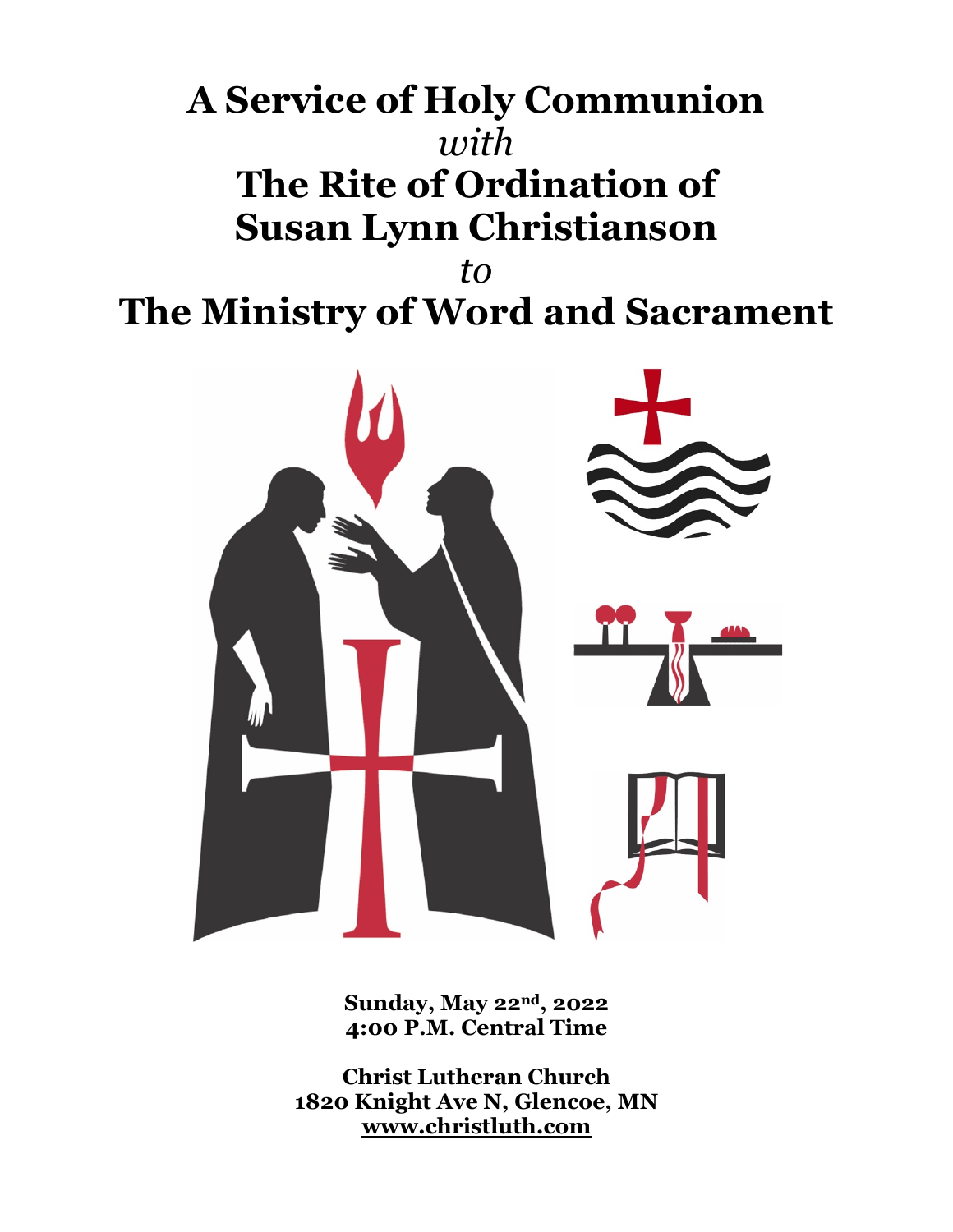# **A Service of Holy Communion** *with* **The Rite of Ordination of Susan Lynn Christianson** *to* **The Ministry of Word and Sacrament**



**Sunday, May 22nd, 2022 4:00 P.M. Central Time**

**Christ Lutheran Church 1820 Knight Ave N, Glencoe, MN www.christluth.com**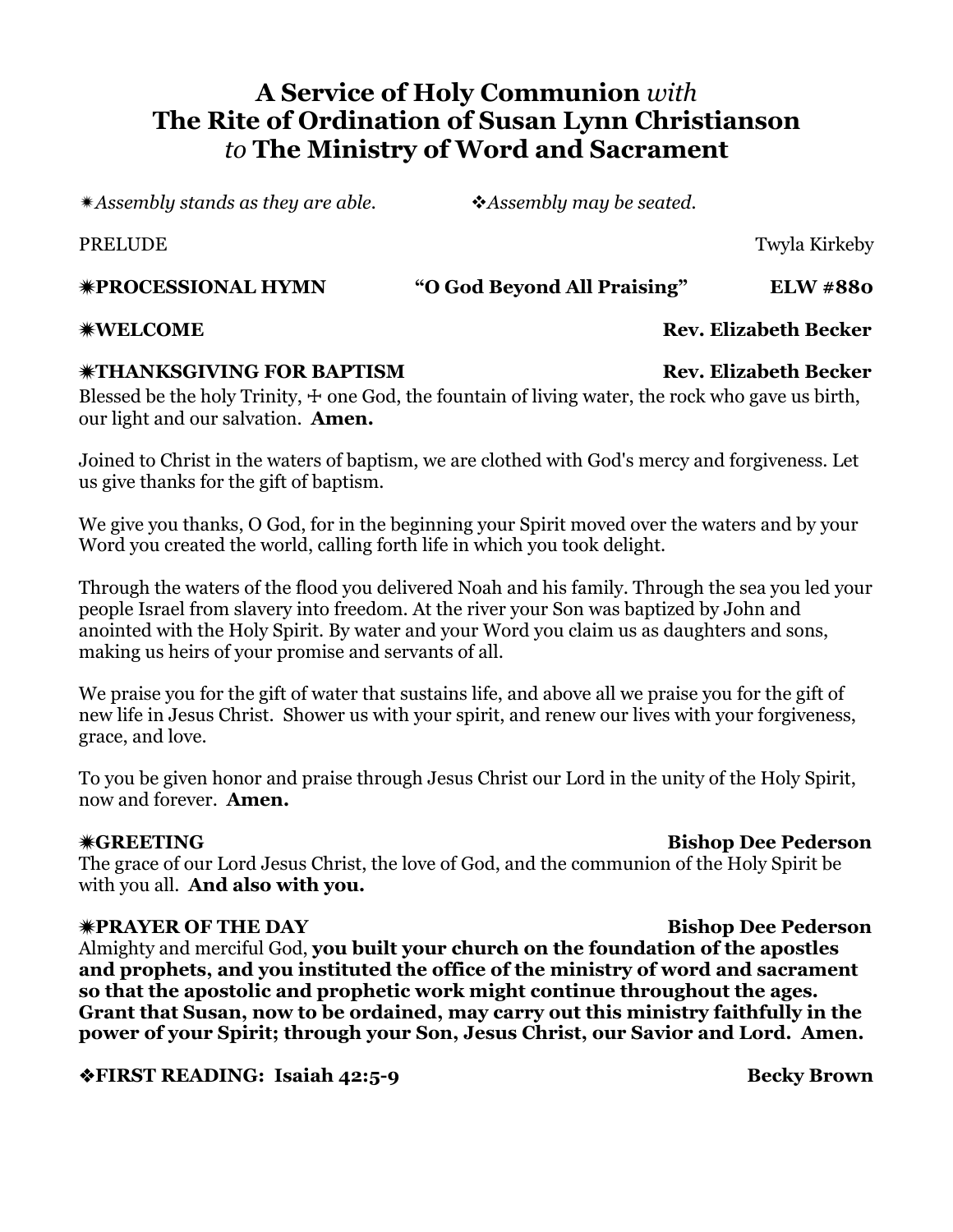# **A Service of Holy Communion** *with* **The Rite of Ordination of Susan Lynn Christianson** *to* **The Ministry of Word and Sacrament**

ï*Assembly stands as they are able.* v*Assembly may be seated.*

ï**PROCESSIONAL HYMN "O God Beyond All Praising" ELW #880**

### ï**THANKSGIVING FOR BAPTISM Rev. Elizabeth Becker**

Blessed be the holy Trinity,  $\pm$  one God, the fountain of living water, the rock who gave us birth, our light and our salvation. **Amen.**

Joined to Christ in the waters of baptism, we are clothed with God's mercy and forgiveness. Let us give thanks for the gift of baptism.

We give you thanks, O God, for in the beginning your Spirit moved over the waters and by your Word you created the world, calling forth life in which you took delight.

Through the waters of the flood you delivered Noah and his family. Through the sea you led your people Israel from slavery into freedom. At the river your Son was baptized by John and anointed with the Holy Spirit. By water and your Word you claim us as daughters and sons, making us heirs of your promise and servants of all.

We praise you for the gift of water that sustains life, and above all we praise you for the gift of new life in Jesus Christ. Shower us with your spirit, and renew our lives with your forgiveness, grace, and love.

To you be given honor and praise through Jesus Christ our Lord in the unity of the Holy Spirit, now and forever. **Amen.**

### ï**GREETING Bishop Dee Pederson**

The grace of our Lord Jesus Christ, the love of God, and the communion of the Holy Spirit be with you all. **And also with you.**

### ï**PRAYER OF THE DAY Bishop Dee Pederson**

Almighty and merciful God, **you built your church on the foundation of the apostles and prophets, and you instituted the office of the ministry of word and sacrament so that the apostolic and prophetic work might continue throughout the ages. Grant that Susan, now to be ordained, may carry out this ministry faithfully in the power of your Spirit; through your Son, Jesus Christ, our Savior and Lord. Amen.**

**\*FIRST READING: Isaiah 42:5-9 Becky Brown** 

ï**WELCOME Rev. Elizabeth Becker**

PRELUDE TWISH TWO STATES IN TWISHING TWISH TWISH TWISH TWISH TWISH TWISH TWISH TWISH TWISH TWISH TWISH TWISH T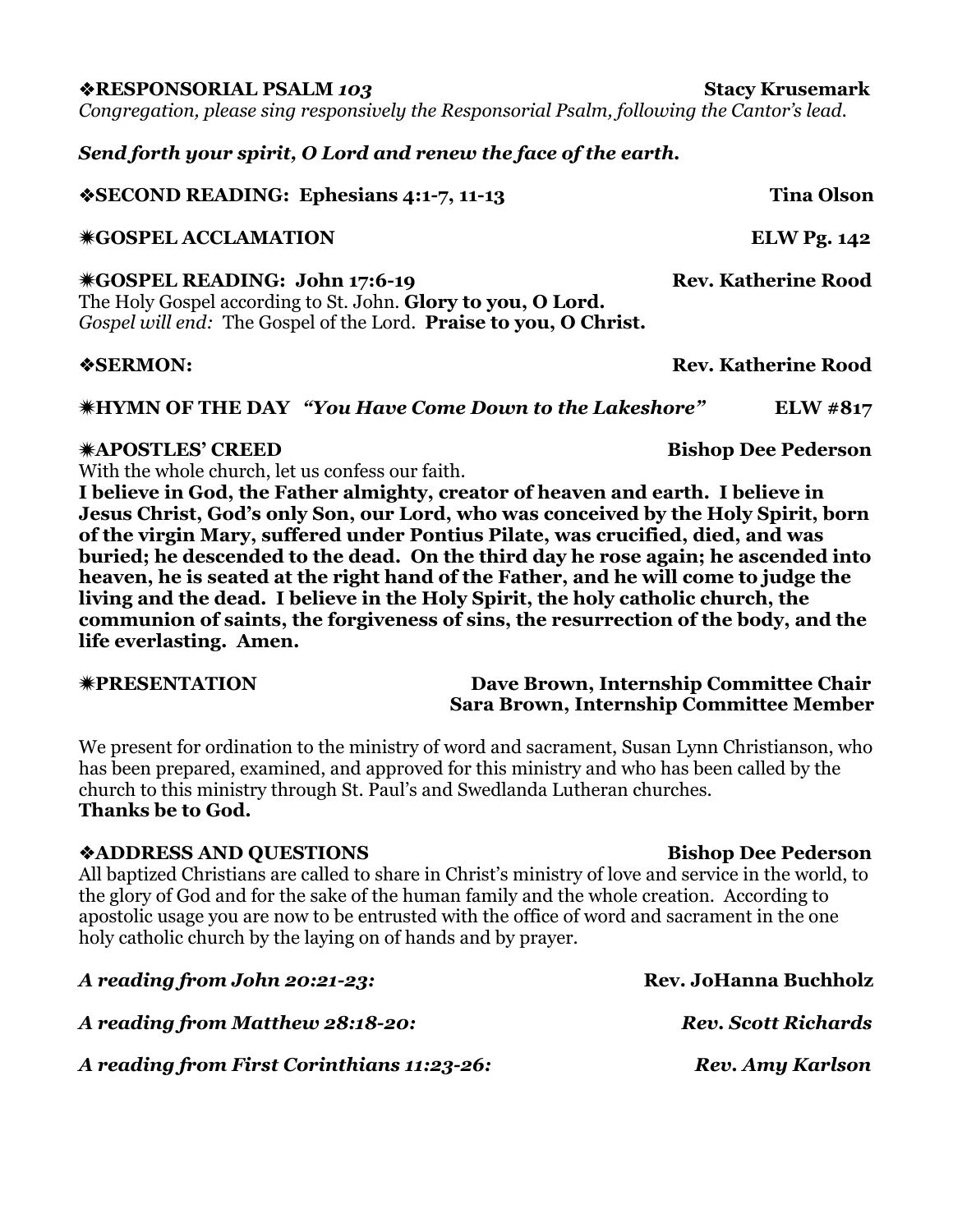v**RESPONSORIAL PSALM** *103* **Stacy Krusemark**

*Congregation, please sing responsively the Responsorial Psalm, following the Cantor's lead.*

*Send forth your spirit, O Lord and renew the face of the earth.*

# v**SECOND READING: Ephesians 4:1-7, 11-13 Tina Olson** ï**GOSPEL ACCLAMATION ELW Pg. 142** ï**GOSPEL READING: John 17:6-19 Rev. Katherine Rood** The Holy Gospel according to St. John. **Glory to you, O Lord.** *Gospel will end:* The Gospel of the Lord. **Praise to you, O Christ.** v**SERMON: Rev. Katherine Rood** ï**HYMN OF THE DAY** *"You Have Come Down to the Lakeshore"* **ELW #817** ï**APOSTLES' CREED Bishop Dee Pederson**

With the whole church, let us confess our faith.

**I believe in God, the Father almighty, creator of heaven and earth. I believe in Jesus Christ, God's only Son, our Lord, who was conceived by the Holy Spirit, born of the virgin Mary, suffered under Pontius Pilate, was crucified, died, and was buried; he descended to the dead. On the third day he rose again; he ascended into heaven, he is seated at the right hand of the Father, and he will come to judge the living and the dead. I believe in the Holy Spirit, the holy catholic church, the communion of saints, the forgiveness of sins, the resurrection of the body, and the life everlasting. Amen.**

### ï**PRESENTATION Dave Brown, Internship Committee Chair Sara Brown, Internship Committee Member**

We present for ordination to the ministry of word and sacrament, Susan Lynn Christianson, who has been prepared, examined, and approved for this ministry and who has been called by the church to this ministry through St. Paul's and Swedlanda Lutheran churches. **Thanks be to God.**

### v**ADDRESS AND QUESTIONS Bishop Dee Pederson**

All baptized Christians are called to share in Christ's ministry of love and service in the world, to the glory of God and for the sake of the human family and the whole creation. According to apostolic usage you are now to be entrusted with the office of word and sacrament in the one holy catholic church by the laying on of hands and by prayer.

*A reading from John 20:21-23:* **Rev. JoHanna Buchholz** *A reading from Matthew 28:18-20: Rev. Scott Richards A reading from First Corinthians 11:23-26: Rev. Amy Karlson*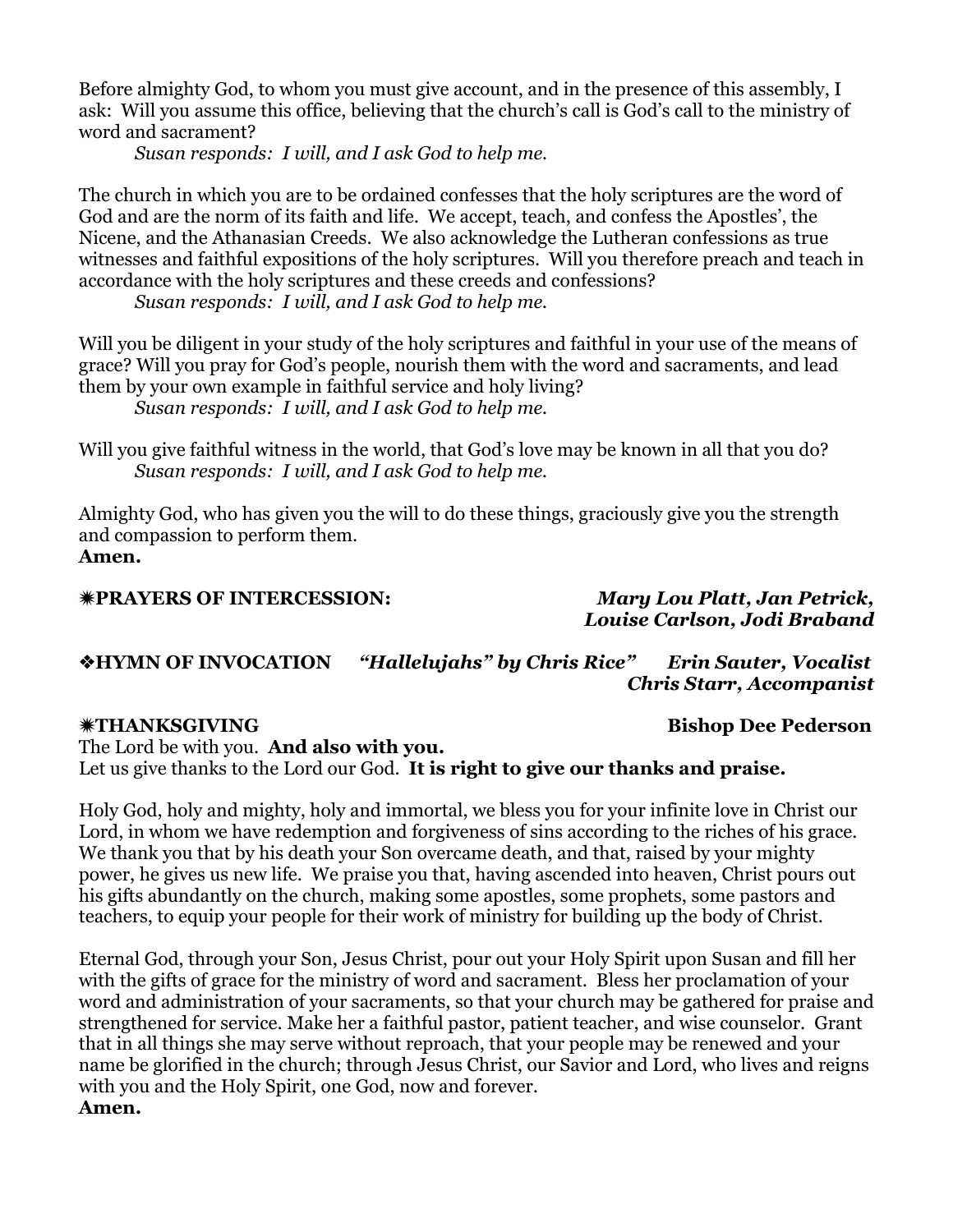Before almighty God, to whom you must give account, and in the presence of this assembly, I ask: Will you assume this office, believing that the church's call is God's call to the ministry of word and sacrament?

*Susan responds: I will, and I ask God to help me.*

The church in which you are to be ordained confesses that the holy scriptures are the word of God and are the norm of its faith and life. We accept, teach, and confess the Apostles', the Nicene, and the Athanasian Creeds. We also acknowledge the Lutheran confessions as true witnesses and faithful expositions of the holy scriptures. Will you therefore preach and teach in accordance with the holy scriptures and these creeds and confessions?

*Susan responds: I will, and I ask God to help me.*

Will you be diligent in your study of the holy scriptures and faithful in your use of the means of grace? Will you pray for God's people, nourish them with the word and sacraments, and lead them by your own example in faithful service and holy living? *Susan responds: I will, and I ask God to help me.*

Will you give faithful witness in the world, that God's love may be known in all that you do? *Susan responds: I will, and I ask God to help me.*

Almighty God, who has given you the will to do these things, graciously give you the strength and compassion to perform them. **Amen.**

### ï**PRAYERS OF INTERCESSION:** *Mary Lou Platt, Jan Petrick,*

# *Louise Carlson, Jodi Braband*

v**HYMN OF INVOCATION** *"Hallelujahs" by Chris Rice" Erin Sauter, Vocalist Chris Starr, Accompanist*

### ï**THANKSGIVING Bishop Dee Pederson**

The Lord be with you. **And also with you.** Let us give thanks to the Lord our God. **It is right to give our thanks and praise.**

Holy God, holy and mighty, holy and immortal, we bless you for your infinite love in Christ our Lord, in whom we have redemption and forgiveness of sins according to the riches of his grace. We thank you that by his death your Son overcame death, and that, raised by your mighty power, he gives us new life. We praise you that, having ascended into heaven, Christ pours out his gifts abundantly on the church, making some apostles, some prophets, some pastors and teachers, to equip your people for their work of ministry for building up the body of Christ.

Eternal God, through your Son, Jesus Christ, pour out your Holy Spirit upon Susan and fill her with the gifts of grace for the ministry of word and sacrament. Bless her proclamation of your word and administration of your sacraments, so that your church may be gathered for praise and strengthened for service. Make her a faithful pastor, patient teacher, and wise counselor. Grant that in all things she may serve without reproach, that your people may be renewed and your name be glorified in the church; through Jesus Christ, our Savior and Lord, who lives and reigns with you and the Holy Spirit, one God, now and forever. **Amen.**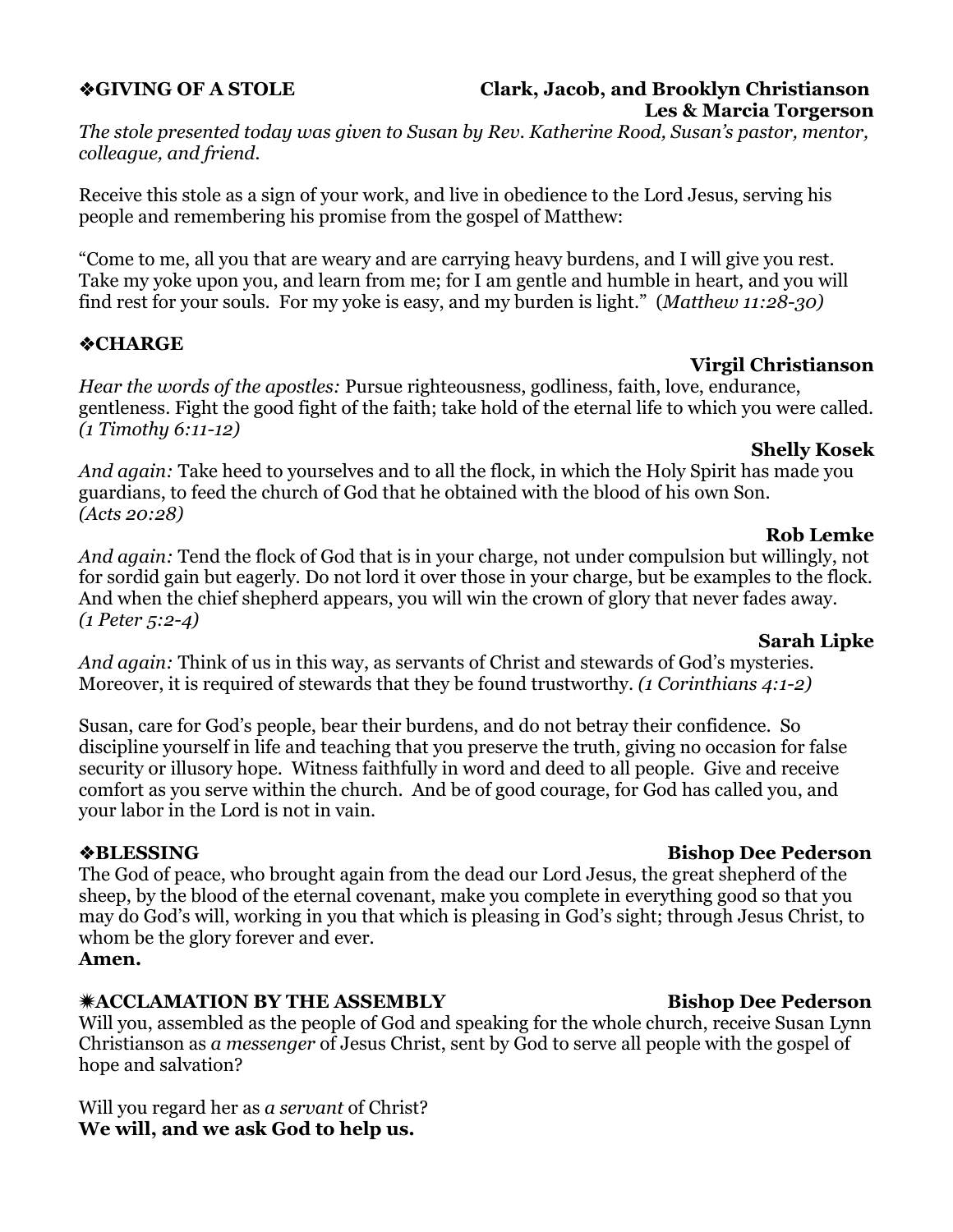# **Les & Marcia Torgerson**

*The stole presented today was given to Susan by Rev. Katherine Rood, Susan's pastor, mentor, colleague, and friend.*

Receive this stole as a sign of your work, and live in obedience to the Lord Jesus, serving his people and remembering his promise from the gospel of Matthew:

"Come to me, all you that are weary and are carrying heavy burdens, and I will give you rest. Take my yoke upon you, and learn from me; for I am gentle and humble in heart, and you will find rest for your souls. For my yoke is easy, and my burden is light." (*Matthew 11:28-30)*

# v**CHARGE**

### **Virgil Christianson**

*Hear the words of the apostles:* Pursue righteousness, godliness, faith, love, endurance, gentleness. Fight the good fight of the faith; take hold of the eternal life to which you were called. *(1 Timothy 6:11-12)*

### **Shelly Kosek**

*And again:* Take heed to yourselves and to all the flock, in which the Holy Spirit has made you guardians, to feed the church of God that he obtained with the blood of his own Son. *(Acts 20:28)*

### **Rob Lemke**

*And again:* Tend the flock of God that is in your charge, not under compulsion but willingly, not for sordid gain but eagerly. Do not lord it over those in your charge, but be examples to the flock. And when the chief shepherd appears, you will win the crown of glory that never fades away. *(1 Peter 5:2-4)*

### **Sarah Lipke**

*And again:* Think of us in this way, as servants of Christ and stewards of God's mysteries. Moreover, it is required of stewards that they be found trustworthy. *(1 Corinthians 4:1-2)*

Susan, care for God's people, bear their burdens, and do not betray their confidence. So discipline yourself in life and teaching that you preserve the truth, giving no occasion for false security or illusory hope. Witness faithfully in word and deed to all people. Give and receive comfort as you serve within the church. And be of good courage, for God has called you, and your labor in the Lord is not in vain.

The God of peace, who brought again from the dead our Lord Jesus, the great shepherd of the sheep, by the blood of the eternal covenant, make you complete in everything good so that you may do God's will, working in you that which is pleasing in God's sight; through Jesus Christ, to whom be the glory forever and ever.

### **Amen.**

## **\*ACCLAMATION BY THE ASSEMBLY** Bishop Dee Pederson

Will you, assembled as the people of God and speaking for the whole church, receive Susan Lynn Christianson as *a messenger* of Jesus Christ, sent by God to serve all people with the gospel of hope and salvation?

Will you regard her as *a servant* of Christ? **We will, and we ask God to help us.**

# v**BLESSING Bishop Dee Pederson**

# v**GIVING OF A STOLE Clark, Jacob, and Brooklyn Christianson**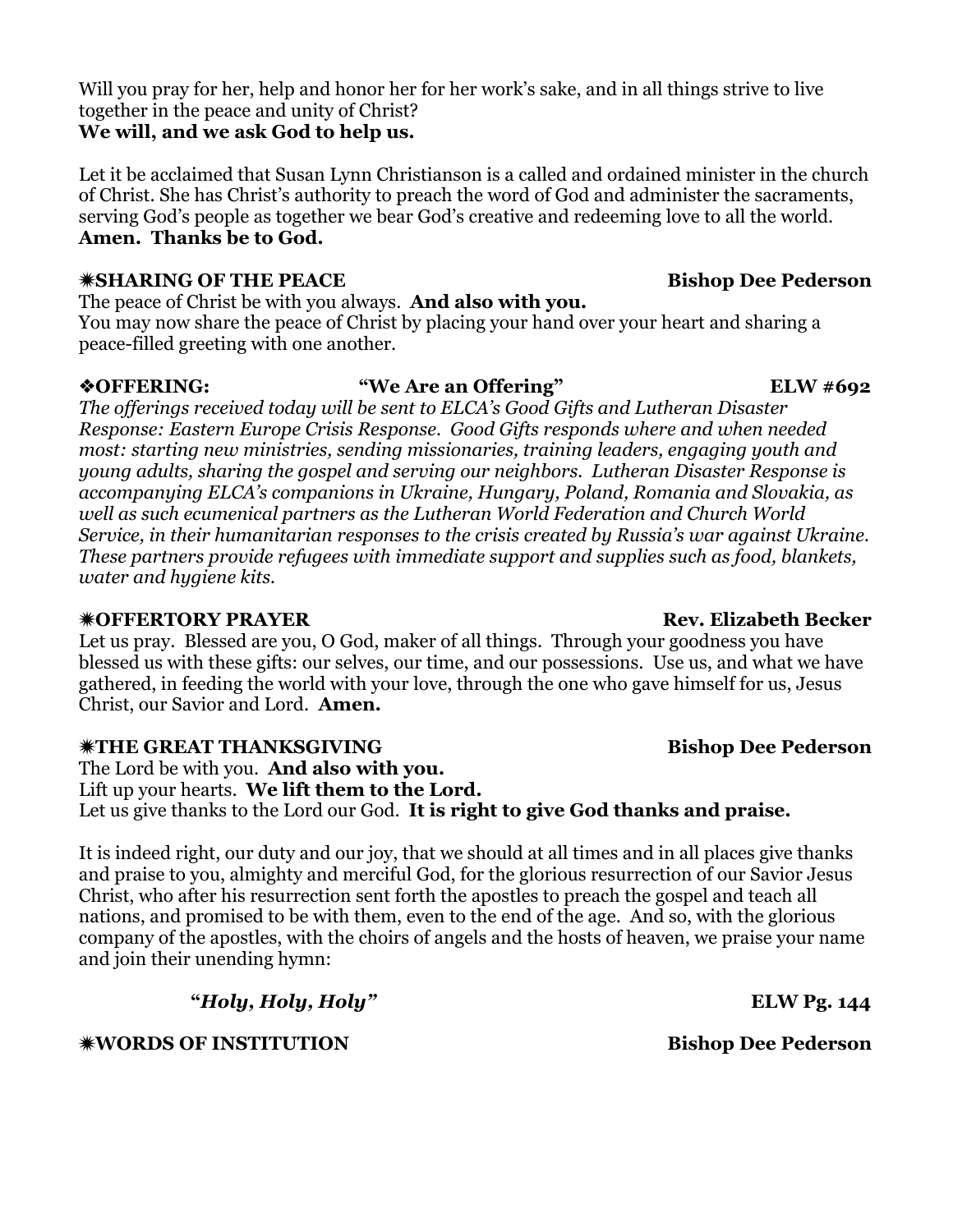Will you pray for her, help and honor her for her work's sake, and in all things strive to live together in the peace and unity of Christ? **We will, and we ask God to help us.**

Let it be acclaimed that Susan Lynn Christianson is a called and ordained minister in the church of Christ. She has Christ's authority to preach the word of God and administer the sacraments, serving God's people as together we bear God's creative and redeeming love to all the world. **Amen. Thanks be to God.**

## ï**SHARING OF THE PEACE Bishop Dee Pederson**

The peace of Christ be with you always. **And also with you.**

You may now share the peace of Christ by placing your hand over your heart and sharing a peace-filled greeting with one another.

## v**OFFERING: "We Are an Offering" ELW #692**

*The offerings received today will be sent to ELCA's Good Gifts and Lutheran Disaster Response: Eastern Europe Crisis Response. Good Gifts responds where and when needed most: starting new ministries, sending missionaries, training leaders, engaging youth and young adults, sharing the gospel and serving our neighbors. Lutheran Disaster Response is accompanying ELCA's companions in Ukraine, Hungary, Poland, Romania and Slovakia, as well as such ecumenical partners as the Lutheran World Federation and Church World Service, in their humanitarian responses to the crisis created by Russia's war against Ukraine. These partners provide refugees with immediate support and supplies such as food, blankets, water and hygiene kits.*

# ï**OFFERTORY PRAYER Rev. Elizabeth Becker**

Let us pray. Blessed are you, O God, maker of all things. Through your goodness you have blessed us with these gifts: our selves, our time, and our possessions. Use us, and what we have gathered, in feeding the world with your love, through the one who gave himself for us, Jesus Christ, our Savior and Lord. **Amen.**

# ï**THE GREAT THANKSGIVING Bishop Dee Pederson**

The Lord be with you. **And also with you.**

Lift up your hearts. **We lift them to the Lord.** Let us give thanks to the Lord our God. **It is right to give God thanks and praise.**

It is indeed right, our duty and our joy, that we should at all times and in all places give thanks and praise to you, almighty and merciful God, for the glorious resurrection of our Savior Jesus Christ, who after his resurrection sent forth the apostles to preach the gospel and teach all nations, and promised to be with them, even to the end of the age. And so, with the glorious company of the apostles, with the choirs of angels and the hosts of heaven, we praise your name and join their unending hymn:

**"***Holy, Holy, Holy"* **ELW Pg. 144**

ï**WORDS OF INSTITUTION Bishop Dee Pederson**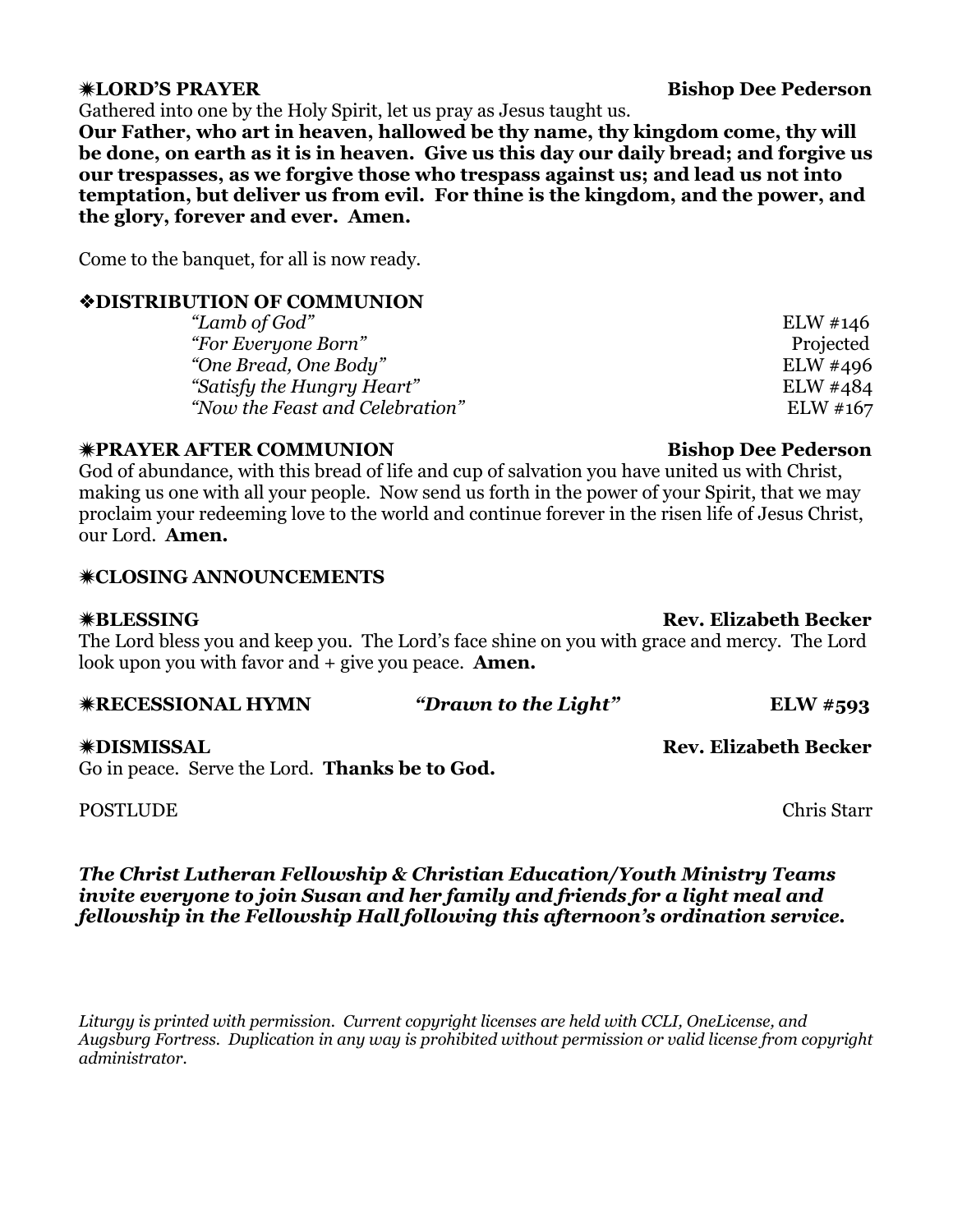Gathered into one by the Holy Spirit, let us pray as Jesus taught us.

**Our Father, who art in heaven, hallowed be thy name, thy kingdom come, thy will be done, on earth as it is in heaven. Give us this day our daily bread; and forgive us our trespasses, as we forgive those who trespass against us; and lead us not into temptation, but deliver us from evil. For thine is the kingdom, and the power, and the glory, forever and ever. Amen.**

Come to the banquet, for all is now ready.

# v**DISTRIBUTION OF COMMUNION**

*"Lamb of God"* ELW #146 *"For Everyone Born"* Projected *"One Bread, One Body"* ELW #496 *"Satisfy the Hungry Heart"* ELW #484 *"Now the Feast and Celebration"* ELW #167

# ï**PRAYER AFTER COMMUNION Bishop Dee Pederson**

God of abundance, with this bread of life and cup of salvation you have united us with Christ, making us one with all your people. Now send us forth in the power of your Spirit, that we may proclaim your redeeming love to the world and continue forever in the risen life of Jesus Christ, our Lord. **Amen.**

# **\*CLOSING ANNOUNCEMENTS**

## ï**BLESSING Rev. Elizabeth Becker**

The Lord bless you and keep you. The Lord's face shine on you with grace and mercy. The Lord look upon you with favor and + give you peace. **Amen.**

| <b>*RECESSIONAL HYMN</b> | "Drawn to the Light" | <b>ELW</b> #593 |
|--------------------------|----------------------|-----------------|
|                          |                      |                 |

Go in peace. Serve the Lord. **Thanks be to God.**

POSTLUDE **Chris** Starr

*The Christ Lutheran Fellowship & Christian Education/Youth Ministry Teams invite everyone to join Susan and her family and friends for a light meal and fellowship in the Fellowship Hall following this afternoon's ordination service.*

*Liturgy is printed with permission. Current copyright licenses are held with CCLI, OneLicense, and Augsburg Fortress. Duplication in any way is prohibited without permission or valid license from copyright administrator.*

ï**DISMISSAL Rev. Elizabeth Becker**